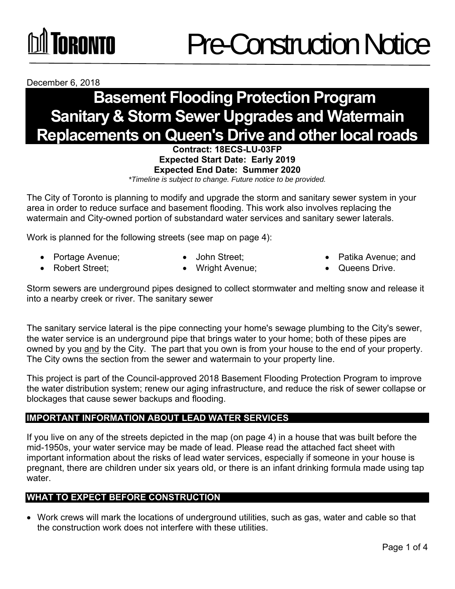### TNRNNTN

December 6, 2018

### **Basement Flooding Protection Program Sanitary & Storm Sewer Upgrades and Watermain Replacements on Queen's Drive and other local roads**

**Contract: 18ECS-LU-03FP Expected Start Date: Early 2019 Expected End Date: Summer 2020** 

*\*Timeline is subject to change. Future notice to be provided.*

The City of Toronto is planning to modify and upgrade the storm and sanitary sewer system in your area in order to reduce surface and basement flooding. This work also involves replacing the watermain and City-owned portion of substandard water services and sanitary sewer laterals.

Work is planned for the following streets (see map on page 4):

- 
- Portage Avenue; John Street; • Patika Avenue; and
- 
- Robert Street; Wright Avenue; Queens Drive.
- 

Storm sewers are underground pipes designed to collect stormwater and melting snow and release it into a nearby creek or river. The sanitary sewer

The sanitary service lateral is the pipe connecting your home's sewage plumbing to the City's sewer, the water service is an underground pipe that brings water to your home; both of these pipes are owned by you and by the City. The part that you own is from your house to the end of your property. The City owns the section from the sewer and watermain to your property line.

This project is part of the Council-approved 2018 Basement Flooding Protection Program to improve the water distribution system; renew our aging infrastructure, and reduce the risk of sewer collapse or blockages that cause sewer backups and flooding.

#### **IMPORTANT INFORMATION ABOUT LEAD WATER SERVICES**

If you live on any of the streets depicted in the map (on page 4) in a house that was built before the mid-1950s, your water service may be made of lead. Please read the attached fact sheet with important information about the risks of lead water services, especially if someone in your house is pregnant, there are children under six years old, or there is an infant drinking formula made using tap water.

#### **WHAT TO EXPECT BEFORE CONSTRUCTION**

 Work crews will mark the locations of underground utilities, such as gas, water and cable so that the construction work does not interfere with these utilities.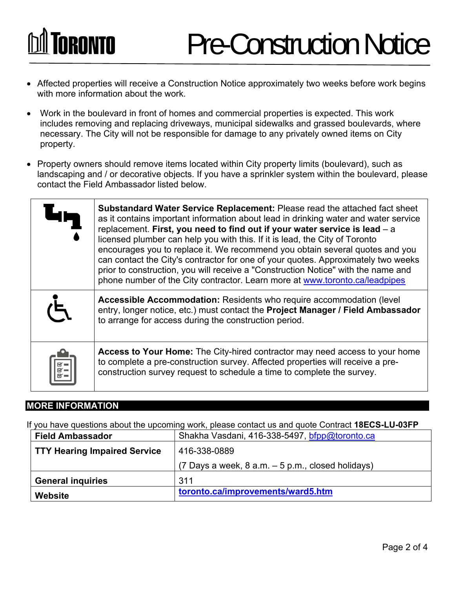# **TORONTO**

- Affected properties will receive a Construction Notice approximately two weeks before work begins with more information about the work.
- Work in the boulevard in front of homes and commercial properties is expected. This work includes removing and replacing driveways, municipal sidewalks and grassed boulevards, where necessary. The City will not be responsible for damage to any privately owned items on City property.  $\bullet$
- Property owners should remove items located within City property limits (boulevard), such as landscaping and / or decorative objects. If you have a sprinkler system within the boulevard, please contact the Field Ambassador listed below.

| <b>Substandard Water Service Replacement: Please read the attached fact sheet</b><br>as it contains important information about lead in drinking water and water service<br>replacement. First, you need to find out if your water service is lead $-$ a<br>licensed plumber can help you with this. If it is lead, the City of Toronto<br>encourages you to replace it. We recommend you obtain several quotes and you<br>can contact the City's contractor for one of your quotes. Approximately two weeks<br>prior to construction, you will receive a "Construction Notice" with the name and<br>phone number of the City contractor. Learn more at www.toronto.ca/leadpipes |
|----------------------------------------------------------------------------------------------------------------------------------------------------------------------------------------------------------------------------------------------------------------------------------------------------------------------------------------------------------------------------------------------------------------------------------------------------------------------------------------------------------------------------------------------------------------------------------------------------------------------------------------------------------------------------------|
| Accessible Accommodation: Residents who require accommodation (level<br>entry, longer notice, etc.) must contact the Project Manager / Field Ambassador<br>to arrange for access during the construction period.                                                                                                                                                                                                                                                                                                                                                                                                                                                                 |
| Access to Your Home: The City-hired contractor may need access to your home<br>to complete a pre-construction survey. Affected properties will receive a pre-<br>construction survey request to schedule a time to complete the survey.                                                                                                                                                                                                                                                                                                                                                                                                                                          |

#### **MORE INFORMATION**

If you have questions about the upcoming work, please contact us and quote Contract **18ECS-LU-03FP**

| <b>Field Ambassador</b>             | Shakha Vasdani, 416-338-5497, bfpp@toronto.ca            |
|-------------------------------------|----------------------------------------------------------|
| <b>TTY Hearing Impaired Service</b> | 416-338-0889                                             |
|                                     | $(7 \text{ Days} a week, 8 a.m. - 5 p.m., closed holds)$ |
| <b>General inquiries</b>            | 311                                                      |
| Website                             | toronto.ca/improvements/ward5.htm                        |